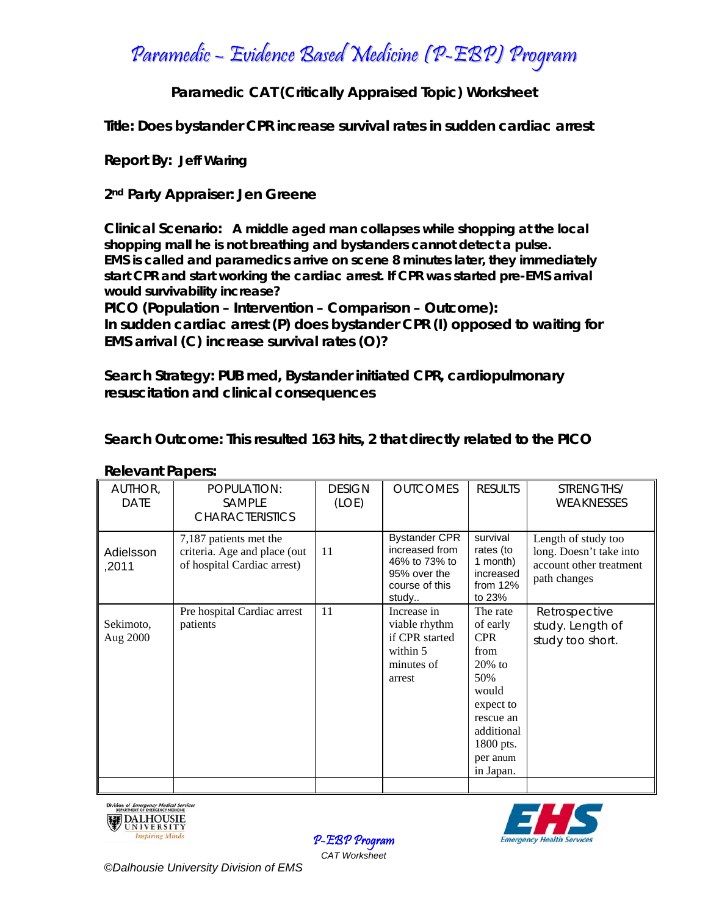Paramedic – Evidence Based Medicine (P-EBP) Program

**Paramedic CAT (Critically Appraised Topic) Worksheet** 

**Title: Does bystander CPR increase survival rates in sudden cardiac arrest**

**Report By: Jeff Waring**

**2nd Party Appraiser: Jen Greene** 

**Clinical Scenario: A middle aged man collapses while shopping at the local shopping mall he is not breathing and bystanders cannot detect a pulse. EMS is called and paramedics arrive on scene 8 minutes later, they immediately start CPR and start working the cardiac arrest. If CPR was started pre-EMS arrival would survivability increase?** 

**PICO (Population – Intervention – Comparison – Outcome): In sudden cardiac arrest (P) does bystander CPR (I) opposed to waiting for EMS arrival (C) increase survival rates (O)?** 

**Search Strategy: PUB med, Bystander initiated CPR, cardiopulmonary resuscitation and clinical consequences** 

**Search Outcome: This resulted 163 hits, 2 that directly related to the PICO**

| AUTHOR,<br><b>DATE</b> | POPULATION:<br><b>SAMPLE</b><br><b>CHARACTERISTICS</b>                                | <b>DESIGN</b><br>(LOE) | <b>OUTCOMES</b>                                                                                    | <b>RESULTS</b>                                                                                                                                        | STRENGTHS/<br>WEAKNESSES                                                                  |
|------------------------|---------------------------------------------------------------------------------------|------------------------|----------------------------------------------------------------------------------------------------|-------------------------------------------------------------------------------------------------------------------------------------------------------|-------------------------------------------------------------------------------------------|
| Adielsson<br>,2011     | 7,187 patients met the<br>criteria. Age and place (out<br>of hospital Cardiac arrest) | 11                     | <b>Bystander CPR</b><br>increased from<br>46% to 73% to<br>95% over the<br>course of this<br>study | survival<br>rates (to<br>1 month)<br>increased<br>from $12%$<br>to 23%                                                                                | Length of study too<br>long. Doesn't take into<br>account other treatment<br>path changes |
| Sekimoto,<br>Aug 2000  | Pre hospital Cardiac arrest<br>patients                                               | 11                     | Increase in<br>viable rhythm<br>if CPR started<br>within 5<br>minutes of<br>arrest                 | The rate<br>of early<br><b>CPR</b><br>from<br>$20\%$ to<br>50%<br>would<br>expect to<br>rescue an<br>additional<br>1800 pts.<br>per anum<br>in Japan. | Retrospective<br>study. Length of<br>study too short.                                     |
|                        |                                                                                       |                        |                                                                                                    |                                                                                                                                                       |                                                                                           |

## **Relevant Papers:**





P-EBP Program *CAT Worksheet*